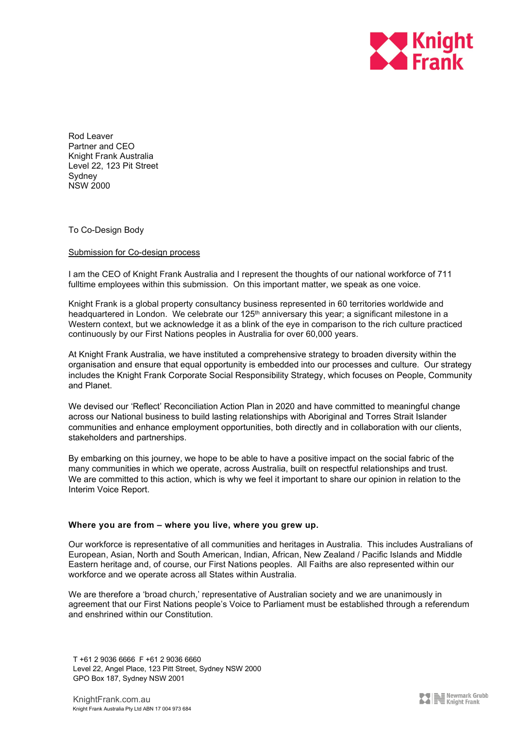

Rod Leaver Partner and CEO Knight Frank Australia Level 22, 123 Pit Street Sydney NSW 2000

To Co-Design Body

### Submission for Co-design process

I am the CEO of Knight Frank Australia and I represent the thoughts of our national workforce of 711 fulltime employees within this submission. On this important matter, we speak as one voice.

Knight Frank is a global property consultancy business represented in 60 territories worldwide and headquartered in London. We celebrate our 125<sup>th</sup> anniversary this year; a significant milestone in a Western context, but we acknowledge it as a blink of the eye in comparison to the rich culture practiced continuously by our First Nations peoples in Australia for over 60,000 years.

At Knight Frank Australia, we have instituted a comprehensive strategy to broaden diversity within the organisation and ensure that equal opportunity is embedded into our processes and culture. Our strategy includes the Knight Frank Corporate Social Responsibility Strategy, which focuses on People, Community and Planet.

We devised our 'Reflect' Reconciliation Action Plan in 2020 and have committed to meaningful change across our National business to build lasting relationships with Aboriginal and Torres Strait Islander communities and enhance employment opportunities, both directly and in collaboration with our clients, stakeholders and partnerships.

By embarking on this journey, we hope to be able to have a positive impact on the social fabric of the many communities in which we operate, across Australia, built on respectful relationships and trust. We are committed to this action, which is why we feel it important to share our opinion in relation to the Interim Voice Report.

### **Where you are from – where you live, where you grew up.**

Our workforce is representative of all communities and heritages in Australia. This includes Australians of European, Asian, North and South American, Indian, African, New Zealand / Pacific Islands and Middle Eastern heritage and, of course, our First Nations peoples. All Faiths are also represented within our workforce and we operate across all States within Australia.

We are therefore a 'broad church,' representative of Australian society and we are unanimously in agreement that our First Nations people's Voice to Parliament must be established through a referendum and enshrined within our Constitution.

T +61 2 9036 6666 F +61 2 9036 6660 Level 22, Angel Place, 123 Pitt Street, Sydney NSW 2000 GPO Box 187, Sydney NSW 2001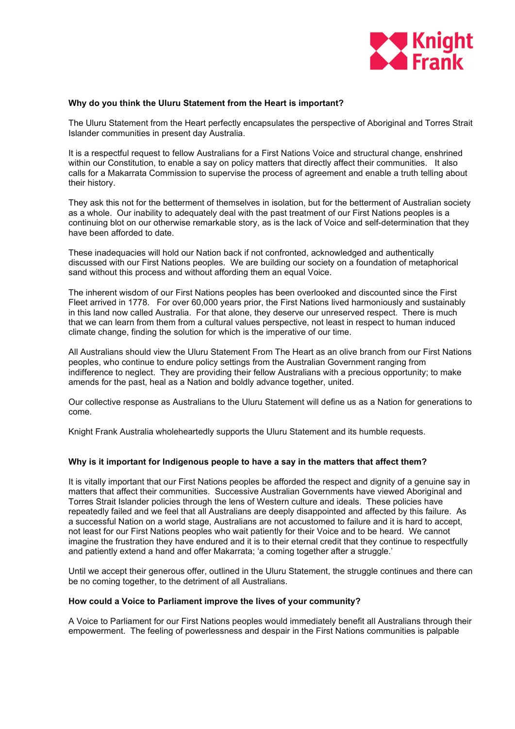

#### **Why do you think the Uluru Statement from the Heart is important?**

The Uluru Statement from the Heart perfectly encapsulates the perspective of Aboriginal and Torres Strait Islander communities in present day Australia.

It is a respectful request to fellow Australians for a First Nations Voice and structural change, enshrined within our Constitution, to enable a say on policy matters that directly affect their communities. It also calls for a Makarrata Commission to supervise the process of agreement and enable a truth telling about their history.

They ask this not for the betterment of themselves in isolation, but for the betterment of Australian society as a whole. Our inability to adequately deal with the past treatment of our First Nations peoples is a continuing blot on our otherwise remarkable story, as is the lack of Voice and self-determination that they have been afforded to date.

These inadequacies will hold our Nation back if not confronted, acknowledged and authentically discussed with our First Nations peoples. We are building our society on a foundation of metaphorical sand without this process and without affording them an equal Voice.

The inherent wisdom of our First Nations peoples has been overlooked and discounted since the First Fleet arrived in 1778. For over 60,000 years prior, the First Nations lived harmoniously and sustainably in this land now called Australia. For that alone, they deserve our unreserved respect. There is much that we can learn from them from a cultural values perspective, not least in respect to human induced climate change, finding the solution for which is the imperative of our time.

All Australians should view the Uluru Statement From The Heart as an olive branch from our First Nations peoples, who continue to endure policy settings from the Australian Government ranging from indifference to neglect. They are providing their fellow Australians with a precious opportunity; to make amends for the past, heal as a Nation and boldly advance together, united.

Our collective response as Australians to the Uluru Statement will define us as a Nation for generations to come.

Knight Frank Australia wholeheartedly supports the Uluru Statement and its humble requests.

### **Why is it important for Indigenous people to have a say in the matters that affect them?**

It is vitally important that our First Nations peoples be afforded the respect and dignity of a genuine say in matters that affect their communities. Successive Australian Governments have viewed Aboriginal and Torres Strait Islander policies through the lens of Western culture and ideals. These policies have repeatedly failed and we feel that all Australians are deeply disappointed and affected by this failure. As a successful Nation on a world stage, Australians are not accustomed to failure and it is hard to accept, not least for our First Nations peoples who wait patiently for their Voice and to be heard. We cannot imagine the frustration they have endured and it is to their eternal credit that they continue to respectfully and patiently extend a hand and offer Makarrata; 'a coming together after a struggle.'

Until we accept their generous offer, outlined in the Uluru Statement, the struggle continues and there can be no coming together, to the detriment of all Australians.

# **How could a Voice to Parliament improve the lives of your community?**

A Voice to Parliament for our First Nations peoples would immediately benefit all Australians through their empowerment. The feeling of powerlessness and despair in the First Nations communities is palpable